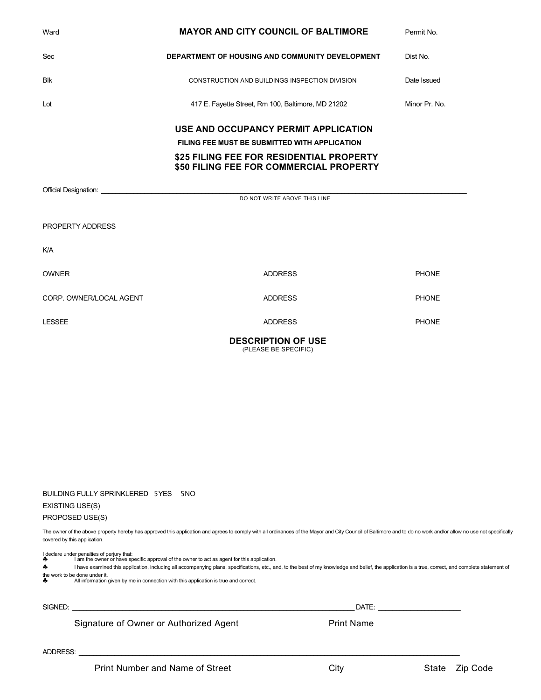| Ward                    | <b>MAYOR AND CITY COUNCIL OF BALTIMORE</b>                                          | Permit No.    |
|-------------------------|-------------------------------------------------------------------------------------|---------------|
| Sec                     | <b>DEPARTMENT OF HOUSING AND COMMUNITY DEVELOPMENT</b>                              | Dist No.      |
| <b>Blk</b>              | CONSTRUCTION AND BUILDINGS INSPECTION DIVISION                                      | Date Issued   |
| Lot                     | 417 E. Fayette Street, Rm 100, Baltimore, MD 21202                                  | Minor Pr. No. |
|                         | USE AND OCCUPANCY PERMIT APPLICATION                                                |               |
|                         | FILING FEE MUST BE SUBMITTED WITH APPLICATION                                       |               |
|                         | \$25 FILING FEE FOR RESIDENTIAL PROPERTY<br>\$50 FILING FEE FOR COMMERCIAL PROPERTY |               |
|                         | DO NOT WRITE ABOVE THIS LINE                                                        |               |
|                         |                                                                                     |               |
| PROPERTY ADDRESS        |                                                                                     |               |
| <b>K/A</b>              |                                                                                     |               |
| <b>OWNER</b>            | <b>ADDRESS</b>                                                                      | <b>PHONE</b>  |
| CORP. OWNER/LOCAL AGENT | <b>ADDRESS</b>                                                                      | <b>PHONE</b>  |
| <b>LESSEE</b>           | <b>ADDRESS</b>                                                                      | <b>PHONE</b>  |
|                         | <b>DESCRIPTION OF USE</b><br>(PLEASE BE SPECIFIC)                                   |               |

| BUILDING FULLY SPRINKLERED 5YES 5NO |  |  |
|-------------------------------------|--|--|
|                                     |  |  |

### EXISTING USE(S)

PROPOSED USE(S)

The owner of the above property hereby has approved this application and agrees to comply with all ordinances of the Mayor and City Council of Baltimore and to do no work and/or allow no use not specifically covered by this application.

| ÷<br>♣   | I declare under penalties of perjury that:<br>I am the owner or have specific approval of the owner to act as agent for this application.<br>I have examined this application, including all accompanying plans, specifications, etc., and, to the best of my knowledge and belief, the application is a true, correct, and complete statement of<br>the work to be done under it.<br>All information given by me in connection with this application is true and correct. |                   |                   |
|----------|----------------------------------------------------------------------------------------------------------------------------------------------------------------------------------------------------------------------------------------------------------------------------------------------------------------------------------------------------------------------------------------------------------------------------------------------------------------------------|-------------------|-------------------|
| SIGNED:  | Signature of Owner or Authorized Agent                                                                                                                                                                                                                                                                                                                                                                                                                                     | <b>Print Name</b> |                   |
| ADDRESS: |                                                                                                                                                                                                                                                                                                                                                                                                                                                                            |                   |                   |
|          | Print Number and Name of Street                                                                                                                                                                                                                                                                                                                                                                                                                                            | Citv              | State<br>Zip Code |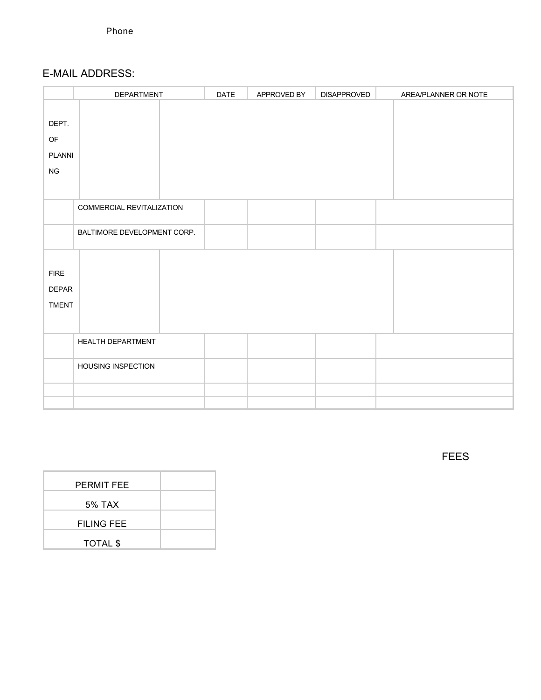## E-MAIL ADDRESS:

|                                             | <b>DEPARTMENT</b>                | <b>DATE</b> | APPROVED BY | <b>DISAPPROVED</b> | AREA/PLANNER OR NOTE |
|---------------------------------------------|----------------------------------|-------------|-------------|--------------------|----------------------|
| DEPT.<br>OF<br>PLANNI<br>${\sf NG}$         |                                  |             |             |                    |                      |
|                                             | <b>COMMERCIAL REVITALIZATION</b> |             |             |                    |                      |
|                                             | BALTIMORE DEVELOPMENT CORP.      |             |             |                    |                      |
| <b>FIRE</b><br><b>DEPAR</b><br><b>TMENT</b> |                                  |             |             |                    |                      |
|                                             | HEALTH DEPARTMENT                |             |             |                    |                      |
|                                             | <b>HOUSING INSPECTION</b>        |             |             |                    |                      |
|                                             |                                  |             |             |                    |                      |

FEES

| <b>PERMIT FEE</b> |  |
|-------------------|--|
| 5% TAX            |  |
| <b>FILING FEE</b> |  |
| <b>TOTAL \$</b>   |  |